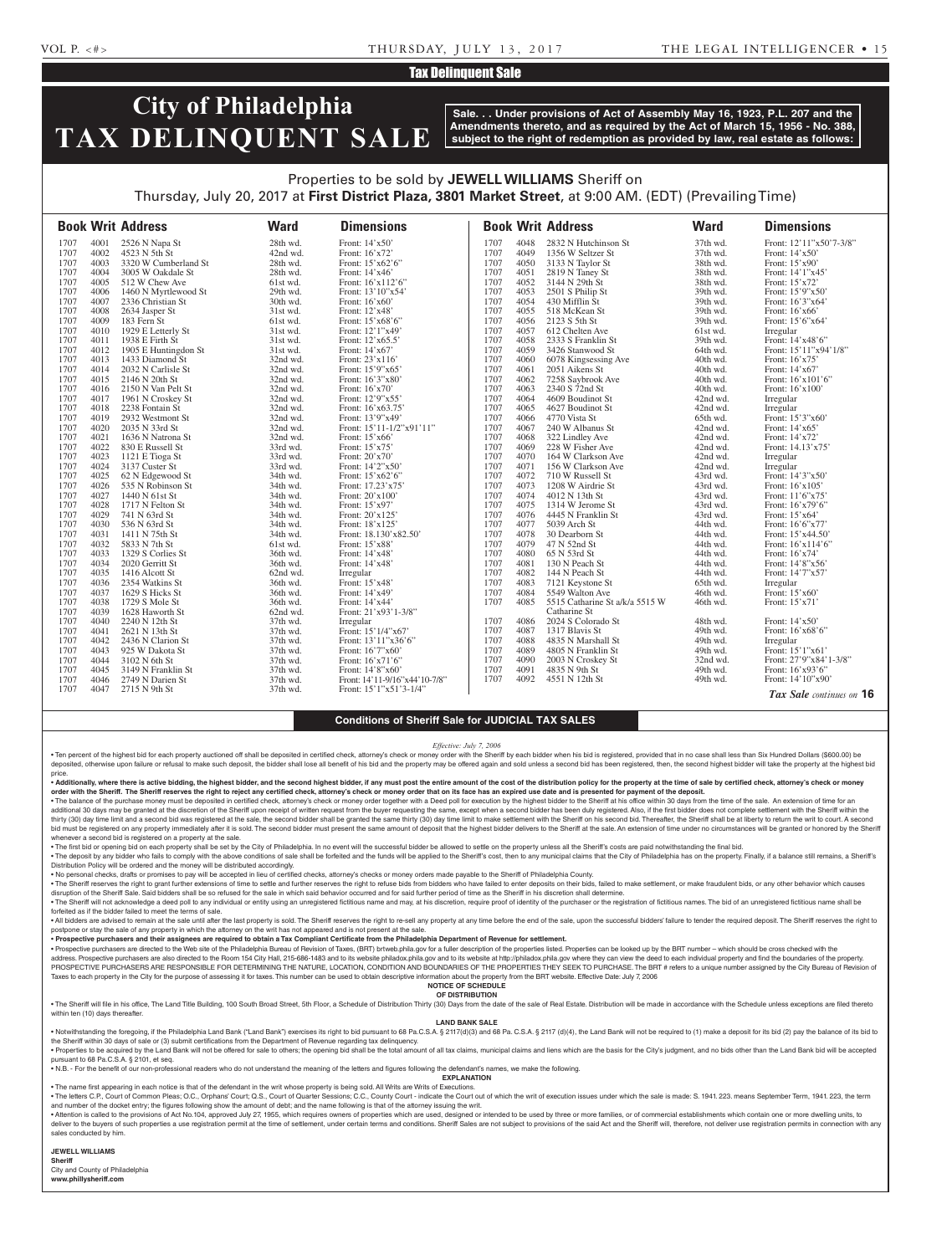# **Tax Delinquent Sale**

# **City of Philadelphia TAX DELINQUENT SALE**

**Sale. . . Under provisions of Act of Assembly May 16, 1923, P.L. 207 and the Amendments thereto, and as required by the Act of March 15, 1956 - No. 388, subject to the right of redemption as provided by law, real estate as follows:**

# Properties to be sold by **JEWELL WILLIAMS** Sheriff on Thursday, July 20, 2017 at **First District Plaza, 3801 Market Street**, at 9:00 AM. (EDT) (Prevailing Time)

|      |      | <b>Book Writ Address</b> | <b>Ward</b> | <b>Dimensions</b>             |      |      | <b>Book Writ Address</b>       | <b>Ward</b> | <b>Dimensions</b>        |
|------|------|--------------------------|-------------|-------------------------------|------|------|--------------------------------|-------------|--------------------------|
| 1707 | 4001 | 2526 N Napa St           | 28th wd.    | Front: 14'x50'                | 1707 | 4048 | 2832 N Hutchinson St           | 37th wd.    | Front: 12'11"x50'7-3/8"  |
| 1707 | 4002 | 4523 N 5th St            | 42nd wd.    | Front: 16'x72'                | 1707 | 4049 | 1356 W Seltzer St              | 37th wd.    | Front: $14'x50'$         |
| 1707 | 4003 | 3320 W Cumberland St     | 28th wd.    | Front: 15'x62'6"              | 1707 | 4050 | 3133 N Taylor St               | 38th wd.    | Front: 15'x90'           |
| 1707 | 4004 | 3005 W Oakdale St        | 28th wd.    | Front: 14'x46'                | 1707 | 4051 | 2819 N Taney St                | 38th wd.    | Front: 14'1"x45'         |
| 1707 | 4005 | 512 W Chew Ave           | 61st wd.    | Front: 16'x112'6"             | 1707 | 4052 | 3144 N 29th St                 | 38th wd.    | Front: 15'x72'           |
| 1707 | 4006 | 1460 N Myrtlewood St     | 29th wd.    | Front: 13'10"x54'             | 1707 | 4053 | 2501 S Philip St               | 39th wd.    | Front: 15'9"x50'         |
| 1707 | 4007 | 2336 Christian St        | 30th wd.    | Front: 16'x60'                | 1707 | 4054 | 430 Mifflin St                 | 39th wd.    | Front: 16'3"x64'         |
| 1707 | 4008 | 2634 Jasper St           | 31st wd.    | Front: 12'x48'                | 1707 | 4055 | 518 McKean St                  | 39th wd.    | Front: $16'x66'$         |
| 1707 | 4009 | 183 Fern St              | 61st wd.    | Front: 15'x68'6"              | 1707 | 4056 | 2123 S 5th St                  | 39th wd.    | Front: 15'6"x64"         |
| 1707 | 4010 | 1929 E Letterly St       | 31st wd.    | Front: 12'1"x49'              | 1707 | 4057 | 612 Chelten Ave                | 61st wd.    | Irregular                |
| 1707 | 4011 | 1938 E Firth St          | 31st wd.    | Front: 12'x65.5'              | 1707 | 4058 | 2333 S Franklin St             | 39th wd.    | Front: 14'x48'6"         |
| 1707 | 4012 | 1905 E Huntingdon St     | 31st wd.    | Front: 14'x67'                | 1707 | 4059 | 3426 Stanwood St               | 64th wd.    | Front: 15'11"x94'1/8"    |
| 1707 | 4013 | 1433 Diamond St          | 32nd wd.    | Front: 23'x116'               | 1707 | 4060 | 6078 Kingsessing Ave           | 40th wd.    | Front: $16'x75'$         |
| 1707 | 4014 | 2032 N Carlisle St       | 32nd wd.    | Front: 15'9"x65'              | 1707 | 4061 | 2051 Aikens St                 | 40th wd.    | Front: 14'x67'           |
| 1707 | 4015 | 2146 N 20th St           | 32nd wd.    | Front: 16'3"x80'              | 1707 | 4062 | 7258 Saybrook Ave              | 40th wd.    | Front: $16'x101'6"$      |
| 1707 | 4016 | 2150 N Van Pelt St       | 32nd wd.    | Front: $16'x70'$              | 1707 | 4063 | 2340 S 72nd St                 | 40th wd.    | Front: 16'x100'          |
| 1707 | 4017 | 1961 N Croskey St        | 32nd wd.    | Front: 12'9"x55'              | 1707 | 4064 | 4609 Boudinot St               | 42nd wd.    | Irregular                |
| 1707 | 4018 | 2238 Fontain St          | 32nd wd.    | Front: 16'x63.75'             | 1707 | 4065 | 4627 Boudinot St               | 42nd wd.    | Irregular                |
| 1707 | 4019 | 2932 Westmont St         | 32nd wd.    | Front: 13'9"x49'              | 1707 | 4066 | 4770 Vista St                  | 65th wd.    | Front: 15'3"x60"         |
| 1707 | 4020 | 2035 N 33rd St           | 32nd wd.    | Front: 15'11-1/2"x91'11"      | 1707 | 4067 | 240 W Albanus St               | 42nd wd.    | Front: 14'x65'           |
| 1707 | 4021 | 1636 N Natrona St        | 32nd wd.    | Front: 15'x66'                | 1707 | 4068 | 322 Lindley Ave                | 42nd wd.    | Front: 14'x72'           |
| 1707 | 4022 | 830 E Russell St         | 33rd wd.    | Front: 15'x75'                | 1707 | 4069 | 228 W Fisher Ave               | 42nd wd.    | Front: 14.13'x75'        |
| 1707 | 4023 | 1121 E Tioga St          | 33rd wd.    | Front: 20'x70'                | 1707 | 4070 | 164 W Clarkson Ave             | 42nd wd.    | Irregular                |
| 1707 | 4024 | 3137 Custer St           | 33rd wd.    | Front: 14'2"x50'              | 1707 | 4071 | 156 W Clarkson Ave             | 42nd wd.    | Irregular                |
| 1707 | 4025 | 62 N Edgewood St         | 34th wd.    | Front: $15'x62'6'$            | 1707 | 4072 | 710 W Russell St               | 43rd wd.    | Front: 14'3"x50"         |
| 1707 | 4026 | 535 N Robinson St        | 34th wd.    | Front: 17.23'x75'             | 1707 | 4073 | 1208 W Airdrie St              | 43rd wd.    | Front: 16'x105'          |
| 1707 | 4027 | 1440 N 61st St           | 34th wd.    | Front: 20'x100'               | 1707 | 4074 | 4012 N 13th St                 | 43rd wd.    | Front: 11'6"x75'         |
| 1707 | 4028 | 1717 N Felton St         | 34th wd.    | Front: 15'x97'                | 1707 | 4075 | 1314 W Jerome St               | 43rd wd.    | Front: $16'x79'6"$       |
| 1707 | 4029 | 741 N 63rd St            | 34th wd.    | Front: 20'x125'               | 1707 | 4076 | 4445 N Franklin St             | 43rd wd.    | Front: 15'x64'           |
| 1707 | 4030 | 536 N 63rd St            | 34th wd.    | Front: 18'x125'               | 1707 | 4077 | 5039 Arch St                   | 44th wd.    | Front: 16'6"x77'         |
| 1707 | 4031 | 1411 N 75th St           | 34th wd.    | Front: 18.130'x82.50'         | 1707 | 4078 | 30 Dearborn St                 | 44th wd.    | Front: 15'x44.50'        |
| 1707 | 4032 | 5833 N 7th St            | 61st wd.    | Front: 15'x88'                | 1707 | 4079 | 47 N 52nd St                   | 44th wd.    | Front: 16'x114'6"        |
| 1707 | 4033 | 1329 S Corlies St        | 36th wd.    | Front: 14'x48'                | 1707 | 4080 | 65 N 53rd St                   | 44th wd.    | Front: 16'x74'           |
| 1707 | 4034 | 2020 Gerritt St          | 36th wd.    | Front: 14'x48'                | 1707 | 4081 | 130 N Peach St                 | 44th wd.    | Front: 14'8"x56'         |
| 1707 | 4035 | 1416 Alcott St           | 62nd wd.    | Irregular                     | 1707 | 4082 | 144 N Peach St                 | 44th wd.    | Front: 14'7"x57'         |
| 1707 | 4036 | 2354 Watkins St          | 36th wd.    | Front: 15'x48'                | 1707 | 4083 | 7121 Keystone St               | 65th wd.    | Irregular                |
| 1707 | 4037 | 1629 S Hicks St          | 36th wd.    | Front: 14'x49'                | 1707 | 4084 | 5549 Walton Ave                | 46th wd.    | Front: 15'x60'           |
| 1707 | 4038 | 1729 S Mole St           | 36th wd.    | Front: 14'x44'                | 1707 | 4085 | 5515 Catharine St a/k/a 5515 W | 46th wd.    | Front: $15'x71'$         |
| 1707 | 4039 | 1628 Haworth St          | 62nd wd.    | Front: 21'x93'1-3/8"          |      |      | Catharine St                   |             |                          |
| 1707 | 4040 | 2240 N 12th St           | 37th wd.    | Irregular                     | 1707 | 4086 | 2024 S Colorado St             | 48th wd.    | Front: 14'x50'           |
| 1707 | 4041 | 2621 N 13th St           | 37th wd.    | Front: 15'1/4"x67'            | 1707 | 4087 | 1317 Blavis St                 | 49th wd.    | Front: 16'x68'6"         |
| 1707 | 4042 | 2436 N Clarion St        | 37th wd.    | Front: 13'11"x36'6"           | 1707 | 4088 | 4835 N Marshall St             | 49th wd.    | Irregular                |
| 1707 | 4043 | 925 W Dakota St          | 37th wd.    | Front: 16'7"x60'              | 1707 | 4089 | 4805 N Franklin St             | 49th wd.    | Front: 15'1"x61"         |
| 1707 | 4044 | 3102 N 6th St            | 37th wd.    | Front: $16'x71'6'$            | 1707 | 4090 | 2003 N Croskey St              | 32nd wd.    | Front: 27'9"x84'1-3/8"   |
| 1707 | 4045 | 3149 N Franklin St       | 37th wd.    | Front: 14'8"x60"              | 1707 | 4091 | 4835 N 9th St                  | 49th wd.    | Front: 16'x93'6"         |
| 1707 | 4046 | 2749 N Darien St         | 37th wd.    | Front: 14'11-9/16"x44'10-7/8" | 1707 | 4092 | 4551 N 12th St                 | 49th wd.    | Front: 14'10"x90"        |
| 1707 | 4047 | 2715 N 9th St            | 37th wd.    | Front: $15'1''x51'3-1/4"$     |      |      |                                |             | Tax Sale continues on 16 |

### **Conditions of Sheriff Sale for JUDICIAL TAX SALES**

### *Effective: July 7, 2006*

. Ten percent of the highest bid for each property auctioned off shall be deposited in certified check, attorney's check or money order with the Sheriff by each bidder when his bid is registered, provided that in no case s deposited, otherwise upon failure or refusal to make such deposit, the bidder shall lose all benefit of his bid and the property may be offered again and sold unless a second bid has been registered, then, the second highe price.

. Additionally, where there is active bidding, the highest bidder, and the second highest bidder, if any must post the entire amount of the cost of the distribution policy for the property at the time of sale by certified **order with the Sheriff. The Sheriff reserves the right to reject any certified check, attorney's check or money order that on its face has an expired use date and is presented for payment of the deposit.**

. The balance of the purchase money must be deposited in certified check, attorney's check or money order together with a Deed poll for execution by the highest bidder to the Sheriff at his office within 30 days from the t additional 30 days may be granted at the discretion of the Sheriff upon receipt of written request from the buyer requesting the same, except when a second bidder has been duly registered. Also, if the first bidder does no bid must be registered on any property immediately after it is sold. The second bidder must present the same amount of deposit that the highest bidder delivers to the Sheriff at the sale. An extension of time under no circ whenever a second bid is registered on a property at the sale.

. The first bid or opening bid on each property shall be set by the City of Philadelphia. In no event will the successful bidder be allowed to settle on the property unless all the Sheriff's costs are paid notwithstanding . The deposit by any bidder who fails to comply with the above conditions of sale shall be forfeited and the funds will be applied to the Sheriff's cost, then to any municipal claims that the City of Philadelphia has on th Distribution Policy will be ordered and the money will be distributed accordingly.

• No personal checks, drafts or promises to pay will be accepted in lieu of certified checks, attorney's checks or money orders made payable to the Sheriff of Philadelphia County.

. The Sheriff reserves the right to grant further extensions of time to settle and further reserves the right to refuse bids from bidders who have failed to enter deposits on their bids, failed to make settlement, or make disruption of the Sheriff Sale. Said bidders shall be so refused for the sale in which said behavior occurred and for said further period of time as the Sheriff in his discretion shall determine.

The Sheriff will not acknowledge a deed poll to any individual or entity using an unregistered fictitious name and may, at his discretion, require proof of identity of the purchaser or the registration of fictitious names. forfeited as if the bidder failed to meet the terms of sale.

. All bidders are advised to remain at the sale until after the last property is sold. The Sheriff reserves the right to re-sell any property at any time before the end of the sale, upon the successful bidders' failure to postpone or stay the sale of any property in which the attorney on the writ has not appeared and is not present at the sale

• **Prospective purchasers and their assignees are required to obtain a Tax Compliant Certificate from the Philadelphia Department of Revenue for settlement.**

. Prospective purchasers are directed to the Web site of the Philadelphia Bureau of Revision of Taxes, (BRT) brtweb.phila.gov for a fuller description of the properties listed. Properties can be looked up by the BRT number address. Prospective purchasers are also directed to the Room 154 City Hall, 215-686-1483 and to its website philadox.phila.gov and to its website at http://philadox.phila.gov where they can view the deed to each individua PROSPECTIVE PURCHASERS ARE RESPONSIBLE FOR DETERMINING THE NATURE, LOCATION, CONDITION AND BOUNDARIES OF THE PROPERTIES THEY SEEK TO PURCHASE. The BRT # refers to a unique number assigned by the City Bureau of Revision of Taxes to each property in the City for the purpose of assessing it for taxes. This number can be used to obtain descriptive information about the property from the BRT website. Effective Date: July 7, 2006

**NOTICE OF SCHEDULE OF DISTRIBUTION**

. The Sheriff will file in his office, The Land Title Building, 100 South Broad Street, 5th Floor, a Schedule of Distribution Thirty (30) Days from the date of the sale of Real Estate. Distribution will be made in accordan within ten (10) days thereafter.

### **LAND BANK SALE**

• Notwithstanding the foregoing, if the Philadelphia Land Bank ("Land Bank") exercises its right to bid pursuant to 68 Pa.C.S.A. § 2117(d)(3) and 68 Pa.C.S.A. § 2117 (d)(4), the Land Bank will not be required to (1) make a the Sheriff within 30 days of sale or (3) submit certifications from the Department of Revenue regarding tax delinquency.

. Properties to be acquired by the Land Bank will not be offered for sale to others; the opening bid shall be the total amount of all tax claims, municipal claims and liens which are the basis for the City's judgment, and pursuant to 68 Pa.C.S.A. § 2101, et seq.

• N.B. - For the benefit of our non-professional readers who do not understand the meaning of the letters and figures following the defendant's names, we make the following.

**EXPLANATION** • The name first appearing in each notice is that of the defendant in the writ whose property is being sold. All Writs are Writs of Executions.

. The letters C.P., Court of Common Pleas: O.C., Orphans' Court: Q.S., Court of Quarter Sessions: C.C., County Court - indicate the Court of Which the writ of execution issues under which the sale is made: S. 1941, 223, me and number of the docket entry; the figures following show the amount of debt; and the name following is that of the attorney issuing the writ.

. Attention is called to the provisions of Act No.104, approved July 27, 1955, which requires owners of properties which are used, designed or intended to be used by three or more families, or of commercial establishments deliver to the buyers of such properties a use registration permit at the time of settlement, under certain terms and conditions. Sheriff Sales are not subject to provisions of the said Act and the Sheriff will, therefore, sales conducted by him.

### **JEWELL WILLIAMS**

**Sheriff**  City and County of Philadelphia

**www.phillysheriff.com**